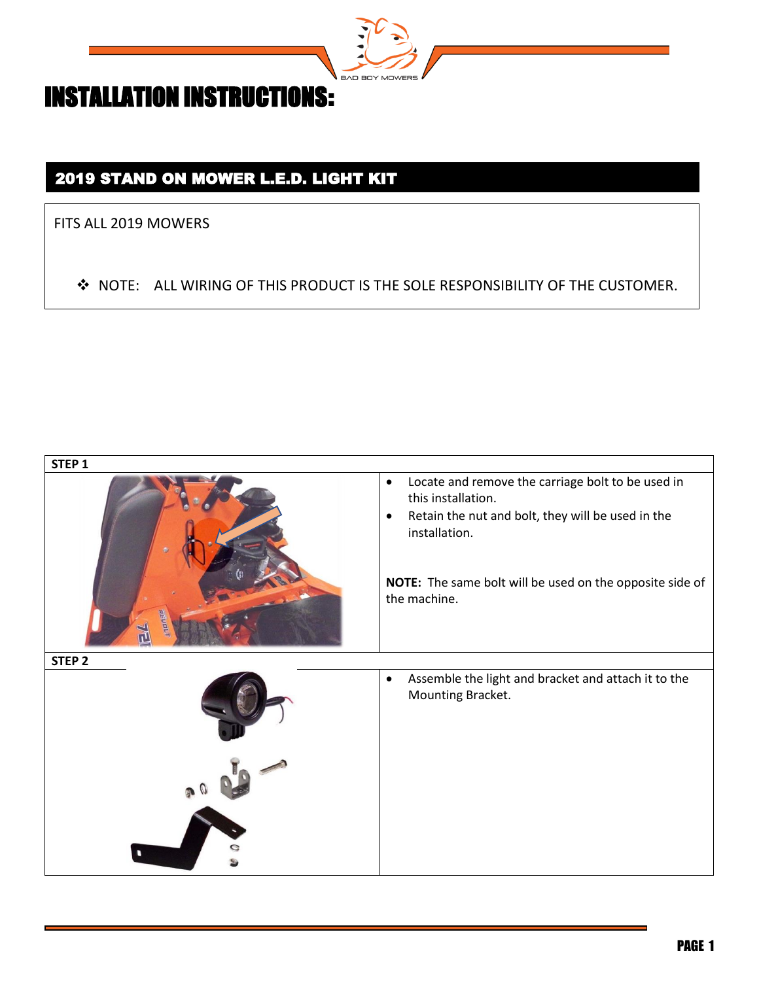

## 2019 STAND ON MOWER L.E.D. LIGHT KIT

FITS ALL 2019 MOWERS

◆ NOTE: ALL WIRING OF THIS PRODUCT IS THE SOLE RESPONSIBILITY OF THE CUSTOMER.

| STEP <sub>1</sub> |                                                                                                                                                                                                                                                     |
|-------------------|-----------------------------------------------------------------------------------------------------------------------------------------------------------------------------------------------------------------------------------------------------|
|                   | Locate and remove the carriage bolt to be used in<br>$\bullet$<br>this installation.<br>Retain the nut and bolt, they will be used in the<br>$\bullet$<br>installation.<br>NOTE: The same bolt will be used on the opposite side of<br>the machine. |
| STEP <sub>2</sub> |                                                                                                                                                                                                                                                     |
|                   | Assemble the light and bracket and attach it to the<br>$\bullet$<br>Mounting Bracket.                                                                                                                                                               |
|                   |                                                                                                                                                                                                                                                     |
|                   |                                                                                                                                                                                                                                                     |